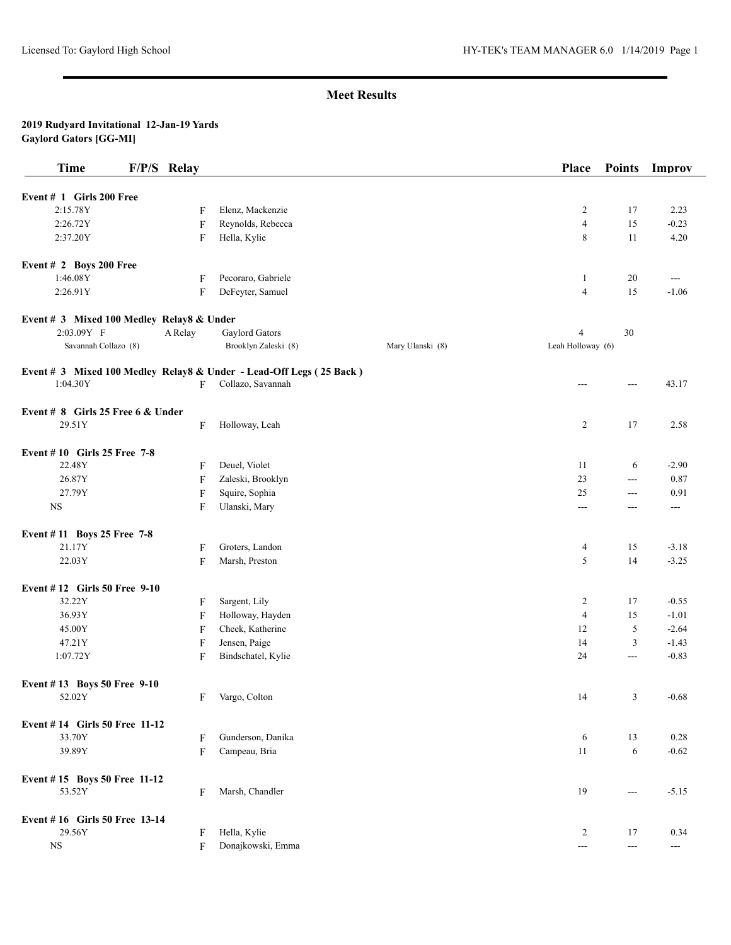| Event # 1 Girls 200 Free<br>2:15.78Y<br>Elenz, Mackenzie<br>$\overline{c}$<br>17<br>2.23<br>F<br>Reynolds, Rebecca<br>$\overline{4}$<br>15<br>2:26.72Y<br>$-0.23$<br>F<br>2:37.20Y<br>8<br>4.20<br>F<br>Hella, Kylie<br>11<br>Event # 2 Boys 200 Free<br>1:46.08Y<br>Pecoraro, Gabriele<br>20<br>F<br>$\mathbf{1}$<br>$\overline{a}$<br>2:26.91Y<br>DeFeyter, Samuel<br>15<br>F<br>$\overline{4}$<br>$-1.06$<br>Event # 3 Mixed 100 Medley Relay8 & Under<br>2:03.09Y F<br>A Relay<br>Gaylord Gators<br>4<br>30<br>Savannah Collazo (8)<br>Brooklyn Zaleski (8)<br>Mary Ulanski (8)<br>Leah Holloway (6)<br>Event # 3 Mixed 100 Medley Relay8 & Under - Lead-Off Legs (25 Back)<br>1:04.30Y<br>F<br>Collazo, Savannah<br>43.17<br>$---$<br>---<br>Event # 8 Girls 25 Free 6 & Under<br>29.51Y<br>Holloway, Leah<br>F<br>2<br>17<br>2.58<br>Event $# 10$ Girls 25 Free 7-8<br>22.48Y<br>Deuel, Violet<br>11<br>6<br>$-2.90$<br>F<br>26.87Y<br>23<br>0.87<br>Zaleski, Brooklyn<br>F<br>---<br>27.79Y<br>Squire, Sophia<br>25<br>F<br>0.91<br>---<br><b>NS</b><br>Ulanski, Mary<br>F<br>$\overline{a}$<br>$\scriptstyle \cdots$<br>$---$<br>Event #11 Boys 25 Free 7-8<br>21.17Y<br>Groters, Landon<br>15<br>$-3.18$<br>F<br>4<br>22.03Y<br>F<br>Marsh, Preston<br>5<br>14<br>$-3.25$<br>Event #12 Girls 50 Free 9-10<br>32.22Y<br>Sargent, Lily<br>$\overline{c}$<br>$-0.55$<br>17<br>F<br>Holloway, Hayden<br>$\overline{4}$<br>15<br>36.93Y<br>$-1.01$<br>F<br>45.00Y<br>Cheek, Katherine<br>5<br>F<br>12<br>$-2.64$<br>Jensen, Paige<br>3<br>47.21Y<br>14<br>$-1.43$<br>F<br>Bindschatel, Kylie<br>1:07.72Y<br>F<br>24<br>$-0.83$<br>$\overline{a}$<br>Event #13 Boys 50 Free 9-10<br>52.02Y<br>F<br>Vargo, Colton<br>14<br>3<br>$-0.68$<br>Event #14 Girls 50 Free 11-12<br>33.70Y<br>Gunderson, Danika<br>6<br>0.28<br>13<br>F<br>39.89Y<br>Campeau, Bria<br>11<br>6<br>F<br>$-0.62$<br>Event #15 Boys 50 Free 11-12<br>53.52Y<br>Marsh, Chandler<br>19<br>$-5.15$<br>F<br>$\overline{a}$<br>Event #16 Girls 50 Free 13-14<br>29.56Y<br>Hella, Kylie<br>2<br>17<br>0.34<br>F<br>Donajkowski, Emma<br>$_{\rm NS}$<br>F<br>$\sim$ $\sim$<br>$ -$<br>$\qquad \qquad - -$ | <b>Time</b> | F/P/S Relay |  | Place | <b>Points</b> | <b>Improv</b> |
|--------------------------------------------------------------------------------------------------------------------------------------------------------------------------------------------------------------------------------------------------------------------------------------------------------------------------------------------------------------------------------------------------------------------------------------------------------------------------------------------------------------------------------------------------------------------------------------------------------------------------------------------------------------------------------------------------------------------------------------------------------------------------------------------------------------------------------------------------------------------------------------------------------------------------------------------------------------------------------------------------------------------------------------------------------------------------------------------------------------------------------------------------------------------------------------------------------------------------------------------------------------------------------------------------------------------------------------------------------------------------------------------------------------------------------------------------------------------------------------------------------------------------------------------------------------------------------------------------------------------------------------------------------------------------------------------------------------------------------------------------------------------------------------------------------------------------------------------------------------------------------------------------------------------------------------------------------------------------------------------------------------------------------------------------------------------------------------------------------------------------------------------------------------------------|-------------|-------------|--|-------|---------------|---------------|
|                                                                                                                                                                                                                                                                                                                                                                                                                                                                                                                                                                                                                                                                                                                                                                                                                                                                                                                                                                                                                                                                                                                                                                                                                                                                                                                                                                                                                                                                                                                                                                                                                                                                                                                                                                                                                                                                                                                                                                                                                                                                                                                                                                          |             |             |  |       |               |               |
|                                                                                                                                                                                                                                                                                                                                                                                                                                                                                                                                                                                                                                                                                                                                                                                                                                                                                                                                                                                                                                                                                                                                                                                                                                                                                                                                                                                                                                                                                                                                                                                                                                                                                                                                                                                                                                                                                                                                                                                                                                                                                                                                                                          |             |             |  |       |               |               |
|                                                                                                                                                                                                                                                                                                                                                                                                                                                                                                                                                                                                                                                                                                                                                                                                                                                                                                                                                                                                                                                                                                                                                                                                                                                                                                                                                                                                                                                                                                                                                                                                                                                                                                                                                                                                                                                                                                                                                                                                                                                                                                                                                                          |             |             |  |       |               |               |
|                                                                                                                                                                                                                                                                                                                                                                                                                                                                                                                                                                                                                                                                                                                                                                                                                                                                                                                                                                                                                                                                                                                                                                                                                                                                                                                                                                                                                                                                                                                                                                                                                                                                                                                                                                                                                                                                                                                                                                                                                                                                                                                                                                          |             |             |  |       |               |               |
|                                                                                                                                                                                                                                                                                                                                                                                                                                                                                                                                                                                                                                                                                                                                                                                                                                                                                                                                                                                                                                                                                                                                                                                                                                                                                                                                                                                                                                                                                                                                                                                                                                                                                                                                                                                                                                                                                                                                                                                                                                                                                                                                                                          |             |             |  |       |               |               |
|                                                                                                                                                                                                                                                                                                                                                                                                                                                                                                                                                                                                                                                                                                                                                                                                                                                                                                                                                                                                                                                                                                                                                                                                                                                                                                                                                                                                                                                                                                                                                                                                                                                                                                                                                                                                                                                                                                                                                                                                                                                                                                                                                                          |             |             |  |       |               |               |
|                                                                                                                                                                                                                                                                                                                                                                                                                                                                                                                                                                                                                                                                                                                                                                                                                                                                                                                                                                                                                                                                                                                                                                                                                                                                                                                                                                                                                                                                                                                                                                                                                                                                                                                                                                                                                                                                                                                                                                                                                                                                                                                                                                          |             |             |  |       |               |               |
|                                                                                                                                                                                                                                                                                                                                                                                                                                                                                                                                                                                                                                                                                                                                                                                                                                                                                                                                                                                                                                                                                                                                                                                                                                                                                                                                                                                                                                                                                                                                                                                                                                                                                                                                                                                                                                                                                                                                                                                                                                                                                                                                                                          |             |             |  |       |               |               |
|                                                                                                                                                                                                                                                                                                                                                                                                                                                                                                                                                                                                                                                                                                                                                                                                                                                                                                                                                                                                                                                                                                                                                                                                                                                                                                                                                                                                                                                                                                                                                                                                                                                                                                                                                                                                                                                                                                                                                                                                                                                                                                                                                                          |             |             |  |       |               |               |
|                                                                                                                                                                                                                                                                                                                                                                                                                                                                                                                                                                                                                                                                                                                                                                                                                                                                                                                                                                                                                                                                                                                                                                                                                                                                                                                                                                                                                                                                                                                                                                                                                                                                                                                                                                                                                                                                                                                                                                                                                                                                                                                                                                          |             |             |  |       |               |               |
|                                                                                                                                                                                                                                                                                                                                                                                                                                                                                                                                                                                                                                                                                                                                                                                                                                                                                                                                                                                                                                                                                                                                                                                                                                                                                                                                                                                                                                                                                                                                                                                                                                                                                                                                                                                                                                                                                                                                                                                                                                                                                                                                                                          |             |             |  |       |               |               |
|                                                                                                                                                                                                                                                                                                                                                                                                                                                                                                                                                                                                                                                                                                                                                                                                                                                                                                                                                                                                                                                                                                                                                                                                                                                                                                                                                                                                                                                                                                                                                                                                                                                                                                                                                                                                                                                                                                                                                                                                                                                                                                                                                                          |             |             |  |       |               |               |
|                                                                                                                                                                                                                                                                                                                                                                                                                                                                                                                                                                                                                                                                                                                                                                                                                                                                                                                                                                                                                                                                                                                                                                                                                                                                                                                                                                                                                                                                                                                                                                                                                                                                                                                                                                                                                                                                                                                                                                                                                                                                                                                                                                          |             |             |  |       |               |               |
|                                                                                                                                                                                                                                                                                                                                                                                                                                                                                                                                                                                                                                                                                                                                                                                                                                                                                                                                                                                                                                                                                                                                                                                                                                                                                                                                                                                                                                                                                                                                                                                                                                                                                                                                                                                                                                                                                                                                                                                                                                                                                                                                                                          |             |             |  |       |               |               |
|                                                                                                                                                                                                                                                                                                                                                                                                                                                                                                                                                                                                                                                                                                                                                                                                                                                                                                                                                                                                                                                                                                                                                                                                                                                                                                                                                                                                                                                                                                                                                                                                                                                                                                                                                                                                                                                                                                                                                                                                                                                                                                                                                                          |             |             |  |       |               |               |
|                                                                                                                                                                                                                                                                                                                                                                                                                                                                                                                                                                                                                                                                                                                                                                                                                                                                                                                                                                                                                                                                                                                                                                                                                                                                                                                                                                                                                                                                                                                                                                                                                                                                                                                                                                                                                                                                                                                                                                                                                                                                                                                                                                          |             |             |  |       |               |               |
|                                                                                                                                                                                                                                                                                                                                                                                                                                                                                                                                                                                                                                                                                                                                                                                                                                                                                                                                                                                                                                                                                                                                                                                                                                                                                                                                                                                                                                                                                                                                                                                                                                                                                                                                                                                                                                                                                                                                                                                                                                                                                                                                                                          |             |             |  |       |               |               |
|                                                                                                                                                                                                                                                                                                                                                                                                                                                                                                                                                                                                                                                                                                                                                                                                                                                                                                                                                                                                                                                                                                                                                                                                                                                                                                                                                                                                                                                                                                                                                                                                                                                                                                                                                                                                                                                                                                                                                                                                                                                                                                                                                                          |             |             |  |       |               |               |
|                                                                                                                                                                                                                                                                                                                                                                                                                                                                                                                                                                                                                                                                                                                                                                                                                                                                                                                                                                                                                                                                                                                                                                                                                                                                                                                                                                                                                                                                                                                                                                                                                                                                                                                                                                                                                                                                                                                                                                                                                                                                                                                                                                          |             |             |  |       |               |               |
|                                                                                                                                                                                                                                                                                                                                                                                                                                                                                                                                                                                                                                                                                                                                                                                                                                                                                                                                                                                                                                                                                                                                                                                                                                                                                                                                                                                                                                                                                                                                                                                                                                                                                                                                                                                                                                                                                                                                                                                                                                                                                                                                                                          |             |             |  |       |               |               |
|                                                                                                                                                                                                                                                                                                                                                                                                                                                                                                                                                                                                                                                                                                                                                                                                                                                                                                                                                                                                                                                                                                                                                                                                                                                                                                                                                                                                                                                                                                                                                                                                                                                                                                                                                                                                                                                                                                                                                                                                                                                                                                                                                                          |             |             |  |       |               |               |
|                                                                                                                                                                                                                                                                                                                                                                                                                                                                                                                                                                                                                                                                                                                                                                                                                                                                                                                                                                                                                                                                                                                                                                                                                                                                                                                                                                                                                                                                                                                                                                                                                                                                                                                                                                                                                                                                                                                                                                                                                                                                                                                                                                          |             |             |  |       |               |               |
|                                                                                                                                                                                                                                                                                                                                                                                                                                                                                                                                                                                                                                                                                                                                                                                                                                                                                                                                                                                                                                                                                                                                                                                                                                                                                                                                                                                                                                                                                                                                                                                                                                                                                                                                                                                                                                                                                                                                                                                                                                                                                                                                                                          |             |             |  |       |               |               |
|                                                                                                                                                                                                                                                                                                                                                                                                                                                                                                                                                                                                                                                                                                                                                                                                                                                                                                                                                                                                                                                                                                                                                                                                                                                                                                                                                                                                                                                                                                                                                                                                                                                                                                                                                                                                                                                                                                                                                                                                                                                                                                                                                                          |             |             |  |       |               |               |
|                                                                                                                                                                                                                                                                                                                                                                                                                                                                                                                                                                                                                                                                                                                                                                                                                                                                                                                                                                                                                                                                                                                                                                                                                                                                                                                                                                                                                                                                                                                                                                                                                                                                                                                                                                                                                                                                                                                                                                                                                                                                                                                                                                          |             |             |  |       |               |               |
|                                                                                                                                                                                                                                                                                                                                                                                                                                                                                                                                                                                                                                                                                                                                                                                                                                                                                                                                                                                                                                                                                                                                                                                                                                                                                                                                                                                                                                                                                                                                                                                                                                                                                                                                                                                                                                                                                                                                                                                                                                                                                                                                                                          |             |             |  |       |               |               |
|                                                                                                                                                                                                                                                                                                                                                                                                                                                                                                                                                                                                                                                                                                                                                                                                                                                                                                                                                                                                                                                                                                                                                                                                                                                                                                                                                                                                                                                                                                                                                                                                                                                                                                                                                                                                                                                                                                                                                                                                                                                                                                                                                                          |             |             |  |       |               |               |
|                                                                                                                                                                                                                                                                                                                                                                                                                                                                                                                                                                                                                                                                                                                                                                                                                                                                                                                                                                                                                                                                                                                                                                                                                                                                                                                                                                                                                                                                                                                                                                                                                                                                                                                                                                                                                                                                                                                                                                                                                                                                                                                                                                          |             |             |  |       |               |               |
|                                                                                                                                                                                                                                                                                                                                                                                                                                                                                                                                                                                                                                                                                                                                                                                                                                                                                                                                                                                                                                                                                                                                                                                                                                                                                                                                                                                                                                                                                                                                                                                                                                                                                                                                                                                                                                                                                                                                                                                                                                                                                                                                                                          |             |             |  |       |               |               |
|                                                                                                                                                                                                                                                                                                                                                                                                                                                                                                                                                                                                                                                                                                                                                                                                                                                                                                                                                                                                                                                                                                                                                                                                                                                                                                                                                                                                                                                                                                                                                                                                                                                                                                                                                                                                                                                                                                                                                                                                                                                                                                                                                                          |             |             |  |       |               |               |
|                                                                                                                                                                                                                                                                                                                                                                                                                                                                                                                                                                                                                                                                                                                                                                                                                                                                                                                                                                                                                                                                                                                                                                                                                                                                                                                                                                                                                                                                                                                                                                                                                                                                                                                                                                                                                                                                                                                                                                                                                                                                                                                                                                          |             |             |  |       |               |               |
|                                                                                                                                                                                                                                                                                                                                                                                                                                                                                                                                                                                                                                                                                                                                                                                                                                                                                                                                                                                                                                                                                                                                                                                                                                                                                                                                                                                                                                                                                                                                                                                                                                                                                                                                                                                                                                                                                                                                                                                                                                                                                                                                                                          |             |             |  |       |               |               |
|                                                                                                                                                                                                                                                                                                                                                                                                                                                                                                                                                                                                                                                                                                                                                                                                                                                                                                                                                                                                                                                                                                                                                                                                                                                                                                                                                                                                                                                                                                                                                                                                                                                                                                                                                                                                                                                                                                                                                                                                                                                                                                                                                                          |             |             |  |       |               |               |
|                                                                                                                                                                                                                                                                                                                                                                                                                                                                                                                                                                                                                                                                                                                                                                                                                                                                                                                                                                                                                                                                                                                                                                                                                                                                                                                                                                                                                                                                                                                                                                                                                                                                                                                                                                                                                                                                                                                                                                                                                                                                                                                                                                          |             |             |  |       |               |               |
|                                                                                                                                                                                                                                                                                                                                                                                                                                                                                                                                                                                                                                                                                                                                                                                                                                                                                                                                                                                                                                                                                                                                                                                                                                                                                                                                                                                                                                                                                                                                                                                                                                                                                                                                                                                                                                                                                                                                                                                                                                                                                                                                                                          |             |             |  |       |               |               |
|                                                                                                                                                                                                                                                                                                                                                                                                                                                                                                                                                                                                                                                                                                                                                                                                                                                                                                                                                                                                                                                                                                                                                                                                                                                                                                                                                                                                                                                                                                                                                                                                                                                                                                                                                                                                                                                                                                                                                                                                                                                                                                                                                                          |             |             |  |       |               |               |
|                                                                                                                                                                                                                                                                                                                                                                                                                                                                                                                                                                                                                                                                                                                                                                                                                                                                                                                                                                                                                                                                                                                                                                                                                                                                                                                                                                                                                                                                                                                                                                                                                                                                                                                                                                                                                                                                                                                                                                                                                                                                                                                                                                          |             |             |  |       |               |               |
|                                                                                                                                                                                                                                                                                                                                                                                                                                                                                                                                                                                                                                                                                                                                                                                                                                                                                                                                                                                                                                                                                                                                                                                                                                                                                                                                                                                                                                                                                                                                                                                                                                                                                                                                                                                                                                                                                                                                                                                                                                                                                                                                                                          |             |             |  |       |               |               |
|                                                                                                                                                                                                                                                                                                                                                                                                                                                                                                                                                                                                                                                                                                                                                                                                                                                                                                                                                                                                                                                                                                                                                                                                                                                                                                                                                                                                                                                                                                                                                                                                                                                                                                                                                                                                                                                                                                                                                                                                                                                                                                                                                                          |             |             |  |       |               |               |
|                                                                                                                                                                                                                                                                                                                                                                                                                                                                                                                                                                                                                                                                                                                                                                                                                                                                                                                                                                                                                                                                                                                                                                                                                                                                                                                                                                                                                                                                                                                                                                                                                                                                                                                                                                                                                                                                                                                                                                                                                                                                                                                                                                          |             |             |  |       |               |               |
|                                                                                                                                                                                                                                                                                                                                                                                                                                                                                                                                                                                                                                                                                                                                                                                                                                                                                                                                                                                                                                                                                                                                                                                                                                                                                                                                                                                                                                                                                                                                                                                                                                                                                                                                                                                                                                                                                                                                                                                                                                                                                                                                                                          |             |             |  |       |               |               |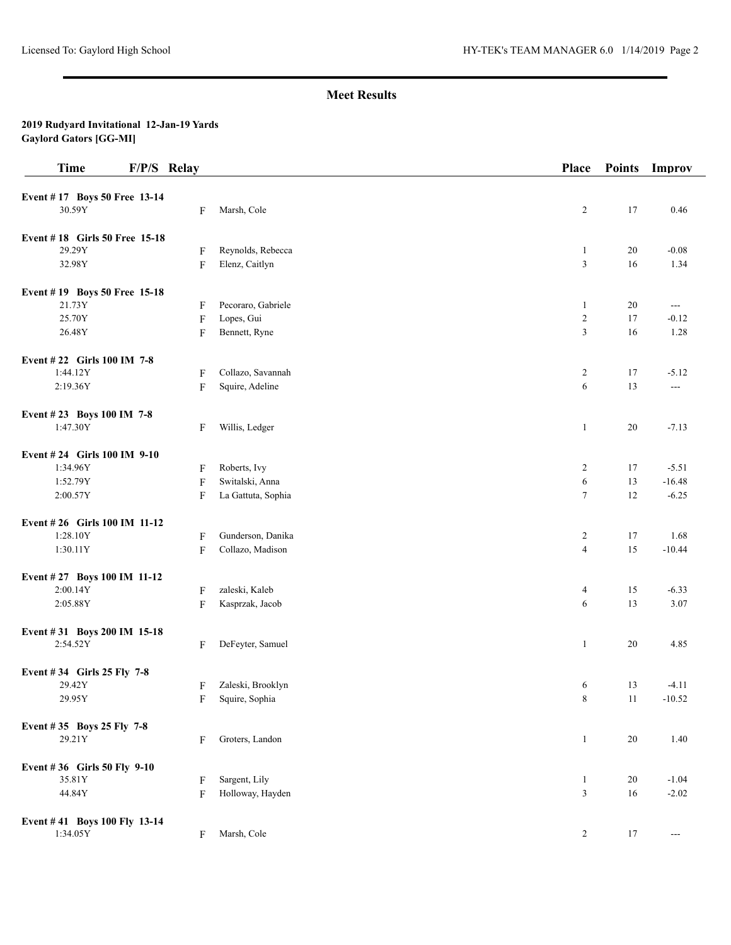| <b>Time</b>                   | F/P/S Relay               |                    | <b>Place</b>   | <b>Points</b> | Improv                   |
|-------------------------------|---------------------------|--------------------|----------------|---------------|--------------------------|
| Event #17 Boys 50 Free 13-14  |                           |                    |                |               |                          |
| 30.59Y                        | F                         | Marsh, Cole        | 2              | 17            | 0.46                     |
| Event #18 Girls 50 Free 15-18 |                           |                    |                |               |                          |
| 29.29Y                        | F                         | Reynolds, Rebecca  | $\mathbf{1}$   | 20            | $-0.08$                  |
| 32.98Y                        | F                         | Elenz, Caitlyn     | 3              | 16            | 1.34                     |
| Event #19 Boys 50 Free 15-18  |                           |                    |                |               |                          |
| 21.73Y                        | F                         | Pecoraro, Gabriele | $\mathbf{1}$   | 20            | $\scriptstyle\cdots$     |
| 25.70Y                        | $\boldsymbol{\mathrm{F}}$ | Lopes, Gui         | $\overline{2}$ | 17            | $-0.12$                  |
| 26.48Y                        | F                         | Bennett, Ryne      | 3              | 16            | 1.28                     |
| Event #22 Girls 100 IM 7-8    |                           |                    |                |               |                          |
| 1:44.12Y                      | F                         | Collazo, Savannah  | $\overline{c}$ | 17            | $-5.12$                  |
| 2:19.36Y                      | F                         | Squire, Adeline    | 6              | 13            | $\overline{a}$           |
| Event #23 Boys 100 IM 7-8     |                           |                    |                |               |                          |
| 1:47.30Y                      | F                         | Willis, Ledger     | $\mathbf{1}$   | 20            | $-7.13$                  |
| Event #24 Girls 100 IM 9-10   |                           |                    |                |               |                          |
| 1:34.96Y                      | F                         | Roberts, Ivy       | 2              | 17            | $-5.51$                  |
| 1:52.79Y                      | $\boldsymbol{\mathrm{F}}$ | Switalski, Anna    | $\sqrt{6}$     | 13            | $-16.48$                 |
| 2:00.57Y                      | F                         | La Gattuta, Sophia | $\tau$         | 12            | $-6.25$                  |
| Event #26 Girls 100 IM 11-12  |                           |                    |                |               |                          |
| 1:28.10Y                      | F                         | Gunderson, Danika  | 2              | 17            | 1.68                     |
| 1:30.11Y                      | F                         | Collazo, Madison   | $\overline{4}$ | 15            | $-10.44$                 |
| Event #27 Boys 100 IM 11-12   |                           |                    |                |               |                          |
| 2:00.14Y                      | F                         | zaleski, Kaleb     | $\overline{4}$ | 15            | $-6.33$                  |
| 2:05.88Y                      | F                         | Kasprzak, Jacob    | 6              | 13            | 3.07                     |
| Event #31 Boys 200 IM 15-18   |                           |                    |                |               |                          |
| 2:54.52Y                      | F                         | DeFeyter, Samuel   | $\mathbf{1}$   | 20            | 4.85                     |
| Event #34 Girls 25 Fly 7-8    |                           |                    |                |               |                          |
| 29.42Y                        | F                         | Zaleski, Brooklyn  | 6              | 13            | $-4.11$                  |
| 29.95Y                        | F                         | Squire, Sophia     | 8              | 11            | $-10.52$                 |
| Event #35 Boys 25 Fly 7-8     |                           |                    |                |               |                          |
| 29.21Y                        | F                         | Groters, Landon    | $\mathbf{1}$   | 20            | 1.40                     |
| Event #36 Girls 50 Fly 9-10   |                           |                    |                |               |                          |
| 35.81Y                        | F                         | Sargent, Lily      | $\mathbf{1}$   | 20            | $-1.04$                  |
| 44.84Y                        | F                         | Holloway, Hayden   | $\mathfrak{Z}$ | 16            | $-2.02$                  |
| Event #41 Boys 100 Fly 13-14  |                           |                    |                |               |                          |
| 1:34.05Y                      | F                         | Marsh, Cole        | $\overline{c}$ | 17            | $\hspace{0.05cm} \ldots$ |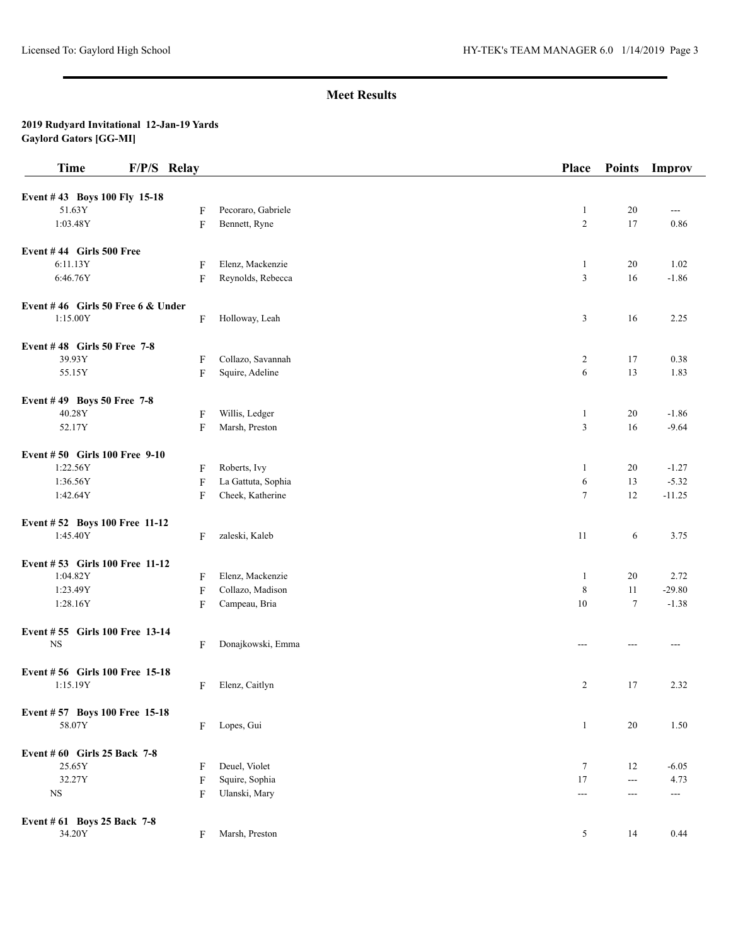| <b>Time</b>                       | F/P/S Relay |           |                    | <b>Place</b>   | <b>Points</b>  | Improv                |
|-----------------------------------|-------------|-----------|--------------------|----------------|----------------|-----------------------|
| Event #43 Boys 100 Fly 15-18      |             |           |                    |                |                |                       |
| 51.63Y                            |             | F         | Pecoraro, Gabriele | $\mathbf{1}$   | 20             | $\sim$ $\sim$         |
| 1:03.48Y                          |             | ${\rm F}$ | Bennett, Ryne      | $\overline{2}$ | 17             | 0.86                  |
| Event $#44$ Girls 500 Free        |             |           |                    |                |                |                       |
| 6:11.13Y                          |             | F         | Elenz, Mackenzie   | $\mathbf{1}$   | 20             | 1.02                  |
| 6:46.76Y                          |             | F         | Reynolds, Rebecca  | 3              | 16             | $-1.86$               |
| Event #46 Girls 50 Free 6 & Under |             |           |                    |                |                |                       |
| 1:15.00Y                          |             | F         | Holloway, Leah     | 3              | 16             | 2.25                  |
| Event #48 Girls 50 Free 7-8       |             |           |                    |                |                |                       |
| 39.93Y                            |             | F         | Collazo, Savannah  | $\overline{c}$ | 17             | 0.38                  |
| 55.15Y                            |             | F         | Squire, Adeline    | $\sqrt{6}$     | 13             | 1.83                  |
| Event #49 Boys 50 Free 7-8        |             |           |                    |                |                |                       |
| 40.28Y                            |             | F         | Willis, Ledger     | $\mathbf{1}$   | 20             | $-1.86$               |
| 52.17Y                            |             | F         | Marsh, Preston     | 3              | 16             | $-9.64$               |
| Event #50 Girls 100 Free 9-10     |             |           |                    |                |                |                       |
| 1:22.56Y                          |             | F         | Roberts, Ivy       | 1              | 20             | $-1.27$               |
| 1:36.56Y                          |             | F         | La Gattuta, Sophia | 6              | 13             | $-5.32$               |
| 1:42.64Y                          |             | F         | Cheek, Katherine   | $\tau$         | 12             | $-11.25$              |
| Event #52 Boys 100 Free 11-12     |             |           |                    |                |                |                       |
| 1:45.40Y                          |             | F         | zaleski, Kaleb     | 11             | 6              | 3.75                  |
| Event #53 Girls 100 Free 11-12    |             |           |                    |                |                |                       |
| 1:04.82Y                          |             | F         | Elenz, Mackenzie   | $\mathbf{1}$   | $20\,$         | 2.72                  |
| 1:23.49Y                          |             | F         | Collazo, Madison   | 8              | 11             | $-29.80$              |
| 1:28.16Y                          |             | F         | Campeau, Bria      | 10             | $\tau$         | $-1.38$               |
| Event #55 Girls 100 Free 13-14    |             |           |                    |                |                |                       |
| $_{\rm NS}$                       |             | F         | Donajkowski, Emma  | ---            |                | ---                   |
| Event #56 Girls 100 Free 15-18    |             |           |                    |                |                |                       |
| 1:15.19Y                          |             | F         | Elenz, Caitlyn     | 2              | 17             | 2.32                  |
| Event #57 Boys 100 Free 15-18     |             |           |                    |                |                |                       |
| 58.07Y                            |             | F         | Lopes, Gui         | $\mathbf{1}$   | 20             | 1.50                  |
| Event # 60 Girls 25 Back 7-8      |             |           |                    |                |                |                       |
| 25.65Y                            |             | F         | Deuel, Violet      | 7              | 12             | $-6.05$               |
| 32.27Y                            |             | F         | Squire, Sophia     | 17             | $\overline{a}$ | 4.73                  |
| <b>NS</b>                         |             | F         | Ulanski, Mary      | $\sim$ $\sim$  | $\sim$ $\sim$  | $\scriptstyle \cdots$ |
| Event # 61 Boys 25 Back 7-8       |             |           |                    |                |                |                       |
| 34.20Y                            |             | F         | Marsh, Preston     | 5              | 14             | 0.44                  |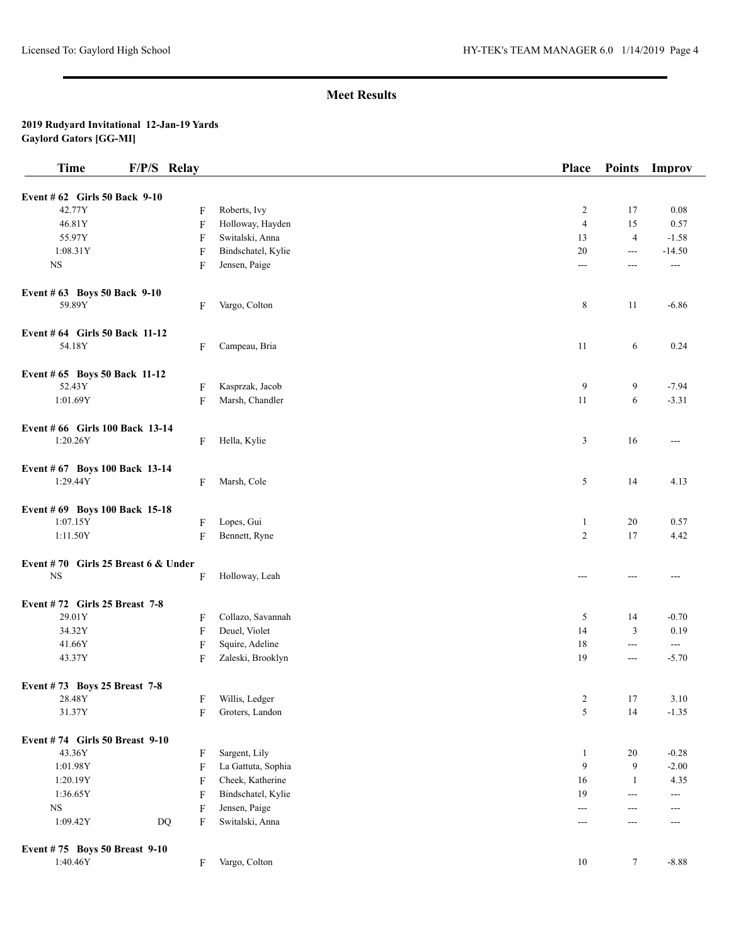| <b>Time</b>                            | F/P/S Relay            |                           |                    | Place          | <b>Points</b>  | Improv               |
|----------------------------------------|------------------------|---------------------------|--------------------|----------------|----------------|----------------------|
| Event # 62 Girls 50 Back 9-10          |                        |                           |                    |                |                |                      |
| 42.77Y                                 |                        | F                         | Roberts, Ivy       | 2              | 17             | 0.08                 |
| 46.81Y                                 |                        | F                         | Holloway, Hayden   | $\overline{4}$ | 15             | 0.57                 |
| 55.97Y                                 |                        | F                         | Switalski, Anna    | 13             | $\overline{4}$ | $-1.58$              |
| 1:08.31Y                               |                        | F                         | Bindschatel, Kylie | 20             | ---            | $-14.50$             |
| $_{\rm NS}$                            |                        | F                         | Jensen, Paige      | $\overline{a}$ | $---$          | $\scriptstyle\cdots$ |
|                                        |                        |                           |                    |                |                |                      |
| Event # 63 Boys 50 Back 9-10<br>59.89Y |                        | F                         | Vargo, Colton      | 8              | 11             | $-6.86$              |
|                                        |                        |                           |                    |                |                |                      |
| Event # 64 Girls 50 Back 11-12         |                        |                           |                    |                |                |                      |
| 54.18Y                                 |                        | F                         | Campeau, Bria      | 11             | 6              | 0.24                 |
| Event # 65 Boys 50 Back 11-12          |                        |                           |                    |                |                |                      |
| 52.43Y                                 |                        | F                         | Kasprzak, Jacob    | 9              | 9              | $-7.94$              |
| 1:01.69Y                               |                        | F                         | Marsh, Chandler    | 11             | 6              | $-3.31$              |
| Event # 66 Girls 100 Back 13-14        |                        |                           |                    |                |                |                      |
| 1:20.26Y                               |                        | F                         | Hella, Kylie       | 3              | 16             | $--$                 |
| Event # 67 Boys 100 Back 13-14         |                        |                           |                    |                |                |                      |
| 1:29.44Y                               |                        | F                         | Marsh, Cole        | 5              | 14             | 4.13                 |
| Event # 69 Boys 100 Back 15-18         |                        |                           |                    |                |                |                      |
| 1:07.15Y                               |                        | F                         | Lopes, Gui         | $\mathbf{1}$   | 20             | 0.57                 |
| 1:11.50Y                               |                        | F                         | Bennett, Ryne      | 2              | 17             | 4.42                 |
| Event #70 Girls 25 Breast 6 & Under    |                        |                           |                    |                |                |                      |
| <b>NS</b>                              |                        | F                         | Holloway, Leah     | $---$          | ---            | ---                  |
| Event #72 Girls 25 Breast 7-8          |                        |                           |                    |                |                |                      |
| 29.01Y                                 |                        | F                         | Collazo, Savannah  | 5              | 14             | $-0.70$              |
| 34.32Y                                 |                        | F                         | Deuel, Violet      | 14             | 3              | 0.19                 |
| 41.66Y                                 |                        | $\boldsymbol{\mathrm{F}}$ | Squire, Adeline    | 18             | $\overline{a}$ | $\sim$ $\sim$        |
| 43.37Y                                 |                        | F                         | Zaleski, Brooklyn  | 19             | ---            | $-5.70$              |
| Event #73 Boys 25 Breast 7-8           |                        |                           |                    |                |                |                      |
| 28.48Y                                 |                        | F                         | Willis, Ledger     | $\overline{c}$ | 17             | 3.10                 |
| 31.37Y                                 |                        | F                         | Groters, Landon    | 5              | 14             | $-1.35$              |
| Event #74 Girls 50 Breast 9-10         |                        |                           |                    |                |                |                      |
| 43.36Y                                 |                        | F                         | Sargent, Lily      | $\mathbf{1}$   | 20             | $-0.28$              |
| 1:01.98Y                               |                        | F                         | La Gattuta, Sophia | 9              | 9              | $-2.00$              |
| 1:20.19Y                               |                        | F                         | Cheek, Katherine   | 16             | $\mathbf{1}$   | 4.35                 |
| 1:36.65Y                               |                        | F                         | Bindschatel, Kylie | 19             | ---            | ---                  |
| $_{\rm NS}$                            |                        | F                         | Jensen, Paige      | $\sim$ $\sim$  | ---            | ---                  |
| 1:09.42Y                               | $\mathbf{D}\mathbf{Q}$ | F                         | Switalski, Anna    | $--$           | $---$          | ---                  |
| Event #75 Boys 50 Breast 9-10          |                        |                           |                    |                |                |                      |
| 1:40.46Y                               |                        | F                         | Vargo, Colton      | $10\,$         | $\tau$         | $-8.88$              |
|                                        |                        |                           |                    |                |                |                      |